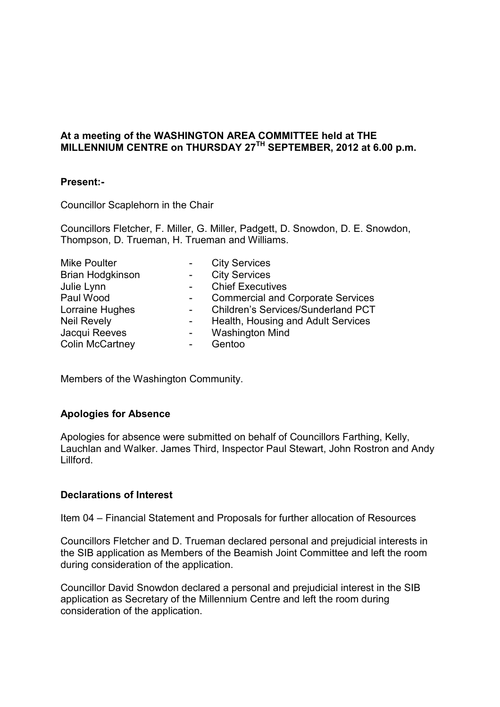### **At a meeting of the WASHINGTON AREA COMMITTEE held at THE MILLENNIUM CENTRE on THURSDAY 27TH SEPTEMBER, 2012 at 6.00 p.m.**

### **Present:-**

Councillor Scaplehorn in the Chair

Councillors Fletcher, F. Miller, G. Miller, Padgett, D. Snowdon, D. E. Snowdon, Thompson, D. Trueman, H. Trueman and Williams.

|                | <b>City Services</b>                     |
|----------------|------------------------------------------|
|                | <b>City Services</b>                     |
|                | <b>Chief Executives</b>                  |
| $\blacksquare$ | <b>Commercial and Corporate Services</b> |
|                | Children's Services/Sunderland PCT       |
|                | Health, Housing and Adult Services       |
|                | <b>Washington Mind</b>                   |
|                | Gentoo                                   |
|                |                                          |

Members of the Washington Community.

### **Apologies for Absence**

Apologies for absence were submitted on behalf of Councillors Farthing, Kelly, Lauchlan and Walker. James Third, Inspector Paul Stewart, John Rostron and Andy Lillford.

# **Declarations of Interest**

Item 04 – Financial Statement and Proposals for further allocation of Resources

Councillors Fletcher and D. Trueman declared personal and prejudicial interests in the SIB application as Members of the Beamish Joint Committee and left the room during consideration of the application.

Councillor David Snowdon declared a personal and prejudicial interest in the SIB application as Secretary of the Millennium Centre and left the room during consideration of the application.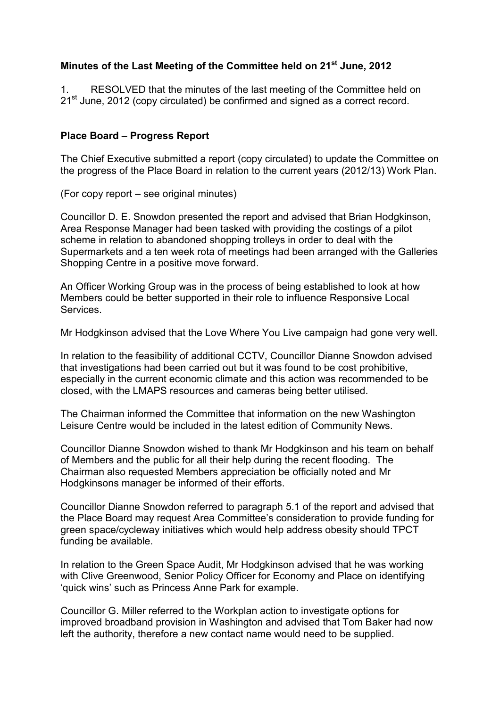# **Minutes of the Last Meeting of the Committee held on 21st June, 2012**

1. RESOLVED that the minutes of the last meeting of the Committee held on  $21<sup>st</sup>$  June, 2012 (copy circulated) be confirmed and signed as a correct record.

## **Place Board – Progress Report**

The Chief Executive submitted a report (copy circulated) to update the Committee on the progress of the Place Board in relation to the current years (2012/13) Work Plan.

(For copy report – see original minutes)

Councillor D. E. Snowdon presented the report and advised that Brian Hodgkinson, Area Response Manager had been tasked with providing the costings of a pilot scheme in relation to abandoned shopping trolleys in order to deal with the Supermarkets and a ten week rota of meetings had been arranged with the Galleries Shopping Centre in a positive move forward.

An Officer Working Group was in the process of being established to look at how Members could be better supported in their role to influence Responsive Local **Services** 

Mr Hodgkinson advised that the Love Where You Live campaign had gone very well.

In relation to the feasibility of additional CCTV, Councillor Dianne Snowdon advised that investigations had been carried out but it was found to be cost prohibitive, especially in the current economic climate and this action was recommended to be closed, with the LMAPS resources and cameras being better utilised.

The Chairman informed the Committee that information on the new Washington Leisure Centre would be included in the latest edition of Community News.

Councillor Dianne Snowdon wished to thank Mr Hodgkinson and his team on behalf of Members and the public for all their help during the recent flooding. The Chairman also requested Members appreciation be officially noted and Mr Hodgkinsons manager be informed of their efforts.

Councillor Dianne Snowdon referred to paragraph 5.1 of the report and advised that the Place Board may request Area Committee's consideration to provide funding for green space/cycleway initiatives which would help address obesity should TPCT funding be available.

In relation to the Green Space Audit, Mr Hodgkinson advised that he was working with Clive Greenwood, Senior Policy Officer for Economy and Place on identifying 'quick wins' such as Princess Anne Park for example.

Councillor G. Miller referred to the Workplan action to investigate options for improved broadband provision in Washington and advised that Tom Baker had now left the authority, therefore a new contact name would need to be supplied.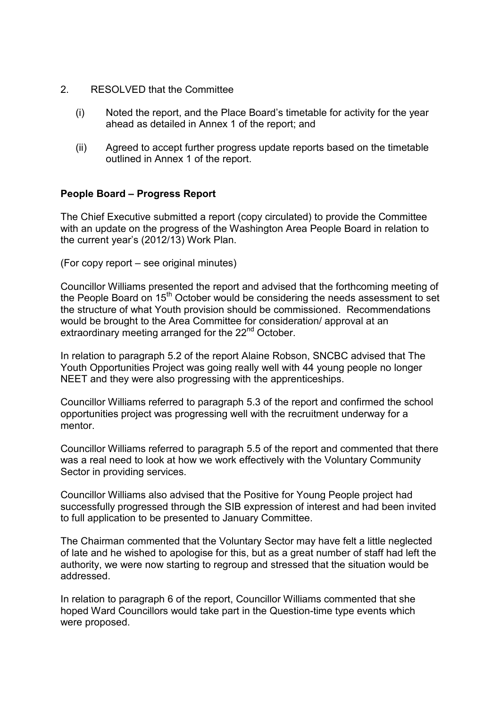- 2. RESOLVED that the Committee
	- (i) Noted the report, and the Place Board's timetable for activity for the year ahead as detailed in Annex 1 of the report; and
	- (ii) Agreed to accept further progress update reports based on the timetable outlined in Annex 1 of the report.

### **People Board – Progress Report**

The Chief Executive submitted a report (copy circulated) to provide the Committee with an update on the progress of the Washington Area People Board in relation to the current year's (2012/13) Work Plan.

(For copy report – see original minutes)

Councillor Williams presented the report and advised that the forthcoming meeting of the People Board on 15<sup>th</sup> October would be considering the needs assessment to set the structure of what Youth provision should be commissioned. Recommendations would be brought to the Area Committee for consideration/ approval at an extraordinary meeting arranged for the 22<sup>nd</sup> October.

In relation to paragraph 5.2 of the report Alaine Robson, SNCBC advised that The Youth Opportunities Project was going really well with 44 young people no longer NEET and they were also progressing with the apprenticeships.

Councillor Williams referred to paragraph 5.3 of the report and confirmed the school opportunities project was progressing well with the recruitment underway for a mentor.

Councillor Williams referred to paragraph 5.5 of the report and commented that there was a real need to look at how we work effectively with the Voluntary Community Sector in providing services.

Councillor Williams also advised that the Positive for Young People project had successfully progressed through the SIB expression of interest and had been invited to full application to be presented to January Committee.

The Chairman commented that the Voluntary Sector may have felt a little neglected of late and he wished to apologise for this, but as a great number of staff had left the authority, we were now starting to regroup and stressed that the situation would be addressed.

In relation to paragraph 6 of the report, Councillor Williams commented that she hoped Ward Councillors would take part in the Question-time type events which were proposed.